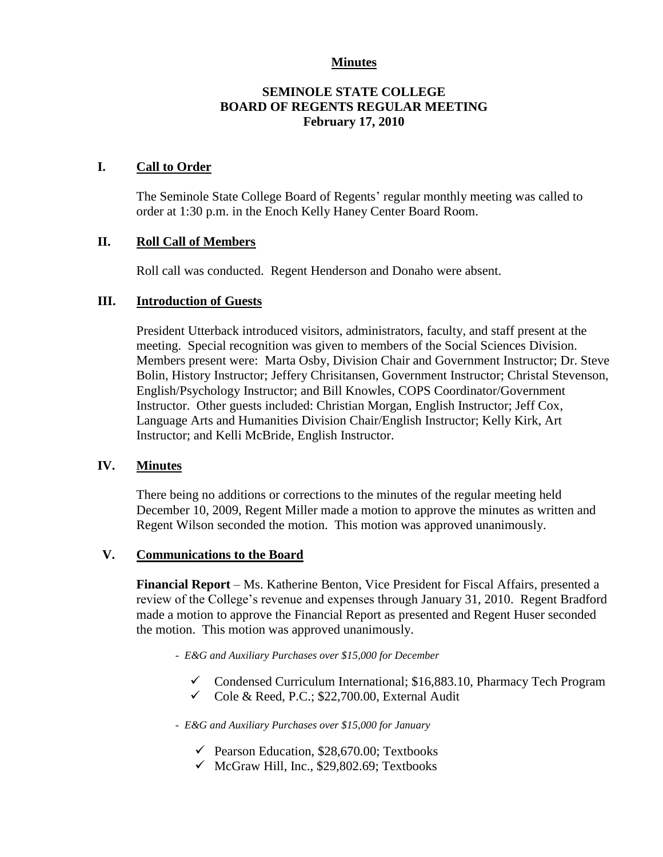## **Minutes**

## **SEMINOLE STATE COLLEGE BOARD OF REGENTS REGULAR MEETING February 17, 2010**

#### **I. Call to Order**

The Seminole State College Board of Regents' regular monthly meeting was called to order at 1:30 p.m. in the Enoch Kelly Haney Center Board Room.

#### **II. Roll Call of Members**

Roll call was conducted. Regent Henderson and Donaho were absent.

#### **III. Introduction of Guests**

President Utterback introduced visitors, administrators, faculty, and staff present at the meeting. Special recognition was given to members of the Social Sciences Division. Members present were: Marta Osby, Division Chair and Government Instructor; Dr. Steve Bolin, History Instructor; Jeffery Chrisitansen, Government Instructor; Christal Stevenson, English/Psychology Instructor; and Bill Knowles, COPS Coordinator/Government Instructor. Other guests included: Christian Morgan, English Instructor; Jeff Cox, Language Arts and Humanities Division Chair/English Instructor; Kelly Kirk, Art Instructor; and Kelli McBride, English Instructor.

#### **IV. Minutes**

There being no additions or corrections to the minutes of the regular meeting held December 10, 2009, Regent Miller made a motion to approve the minutes as written and Regent Wilson seconded the motion. This motion was approved unanimously.

#### **V. Communications to the Board**

**Financial Report** – Ms. Katherine Benton, Vice President for Fiscal Affairs, presented a review of the College's revenue and expenses through January 31, 2010. Regent Bradford made a motion to approve the Financial Report as presented and Regent Huser seconded the motion. This motion was approved unanimously.

- *E&G and Auxiliary Purchases over \$15,000 for December* 
	- $\checkmark$  Condensed Curriculum International; \$16,883.10, Pharmacy Tech Program
	- $\checkmark$  Cole & Reed, P.C.; \$22,700.00, External Audit

*- E&G and Auxiliary Purchases over \$15,000 for January*

- $\checkmark$  Pearson Education, \$28,670.00; Textbooks
- $\checkmark$  McGraw Hill, Inc., \$29,802.69; Textbooks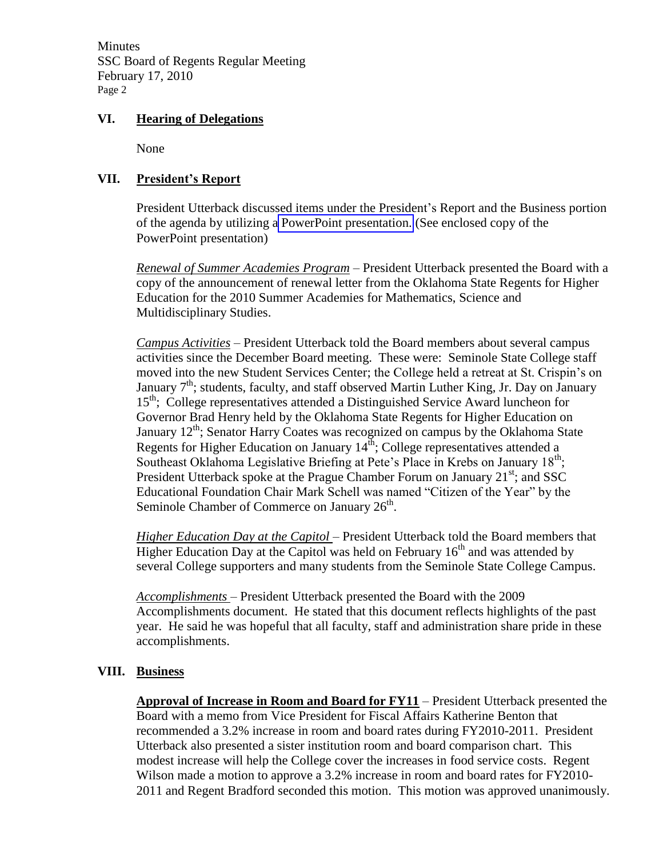**Minutes** SSC Board of Regents Regular Meeting February 17, 2010 Page 2

# **VI. Hearing of Delegations**

None

# **VII. President's Report**

President Utterback discussed items under the President's Report and the Business portion of the agenda by utilizing a PowerPoint presentation. (See enclosed copy of the PowerPoint presentation)

*Renewal of Summer Academies Program* – President Utterback presented the Board with a copy of the announcement of renewal letter from the Oklahoma State Regents for Higher Education for the 2010 Summer Academies for Mathematics, Science and Multidisciplinary Studies.

*Campus Activities* – President Utterback told the Board members about several campus activities since the December Board meeting. These were: Seminole State College staff moved into the new Student Services Center; the College held a retreat at St. Crispin's on January  $7<sup>th</sup>$ ; students, faculty, and staff observed Martin Luther King, Jr. Day on January 15<sup>th</sup>; College representatives attended a Distinguished Service Award luncheon for Governor Brad Henry held by the Oklahoma State Regents for Higher Education on January  $12<sup>th</sup>$ ; Senator Harry Coates was recognized on campus by the Oklahoma State Regents for Higher Education on January  $14^{\text{th}}$ ; College representatives attended a Southeast Oklahoma Legislative Briefing at Pete's Place in Krebs on January 18<sup>th</sup>; President Utterback spoke at the Prague Chamber Forum on January 21<sup>st</sup>; and SSC Educational Foundation Chair Mark Schell was named "Citizen of the Year" by the Seminole Chamber of Commerce on January  $26<sup>th</sup>$ .

*Higher Education Day at the Capitol* – President Utterback told the Board members that Higher Education Day at the Capitol was held on February  $16<sup>th</sup>$  and was attended by several College supporters and many students from the Seminole State College Campus.

*Accomplishments* – President Utterback presented the Board with the 2009 Accomplishments document. He stated that this document reflects highlights of the past year. He said he was hopeful that all faculty, staff and administration share pride in these accomplishments.

# **VIII. Business**

**Approval of Increase in Room and Board for FY11** – President Utterback presented the Board with a memo from Vice President for Fiscal Affairs Katherine Benton that recommended a 3.2% increase in room and board rates during FY2010-2011. President Utterback also presented a sister institution room and board comparison chart. This modest increase will help the College cover the increases in food service costs. Regent Wilson made a motion to approve a 3.2% increase in room and board rates for FY2010- 2011 and Regent Bradford seconded this motion. This motion was approved unanimously.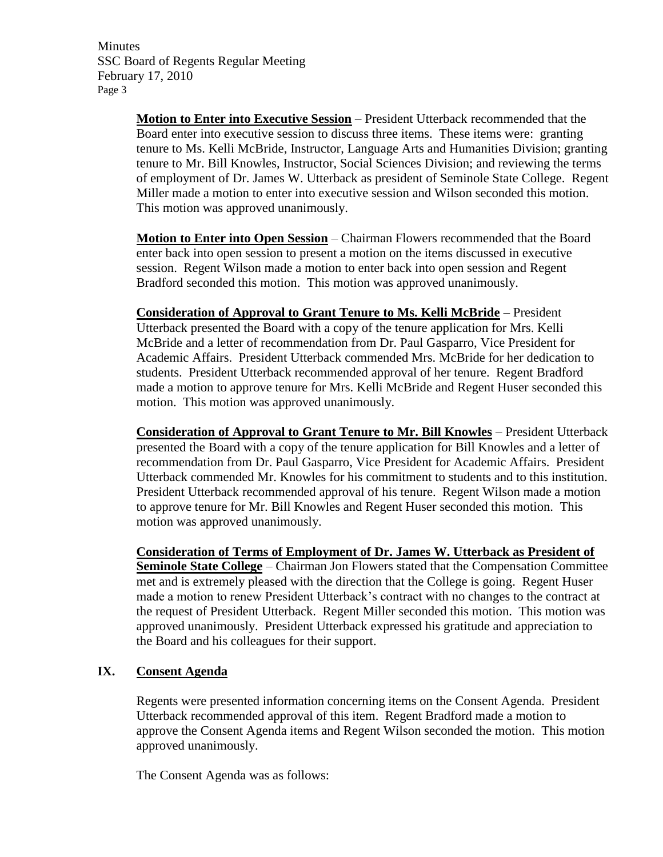**Minutes** SSC Board of Regents Regular Meeting February 17, 2010 Page 3

> **Motion to Enter into Executive Session** – President Utterback recommended that the Board enter into executive session to discuss three items. These items were: granting tenure to Ms. Kelli McBride, Instructor, Language Arts and Humanities Division; granting tenure to Mr. Bill Knowles, Instructor, Social Sciences Division; and reviewing the terms of employment of Dr. James W. Utterback as president of Seminole State College. Regent Miller made a motion to enter into executive session and Wilson seconded this motion. This motion was approved unanimously.

**Motion to Enter into Open Session** – Chairman Flowers recommended that the Board enter back into open session to present a motion on the items discussed in executive session. Regent Wilson made a motion to enter back into open session and Regent Bradford seconded this motion. This motion was approved unanimously.

**Consideration of Approval to Grant Tenure to Ms. Kelli McBride** – President Utterback presented the Board with a copy of the tenure application for Mrs. Kelli McBride and a letter of recommendation from Dr. Paul Gasparro, Vice President for Academic Affairs. President Utterback commended Mrs. McBride for her dedication to students. President Utterback recommended approval of her tenure. Regent Bradford made a motion to approve tenure for Mrs. Kelli McBride and Regent Huser seconded this motion. This motion was approved unanimously.

**Consideration of Approval to Grant Tenure to Mr. Bill Knowles** – President Utterback presented the Board with a copy of the tenure application for Bill Knowles and a letter of recommendation from Dr. Paul Gasparro, Vice President for Academic Affairs. President Utterback commended Mr. Knowles for his commitment to students and to this institution. President Utterback recommended approval of his tenure. Regent Wilson made a motion to approve tenure for Mr. Bill Knowles and Regent Huser seconded this motion. This motion was approved unanimously.

**Consideration of Terms of Employment of Dr. James W. Utterback as President of Seminole State College** – Chairman Jon Flowers stated that the Compensation Committee met and is extremely pleased with the direction that the College is going. Regent Huser made a motion to renew President Utterback's contract with no changes to the contract at the request of President Utterback. Regent Miller seconded this motion. This motion was approved unanimously. President Utterback expressed his gratitude and appreciation to the Board and his colleagues for their support.

## **IX. Consent Agenda**

Regents were presented information concerning items on the Consent Agenda. President Utterback recommended approval of this item. Regent Bradford made a motion to approve the Consent Agenda items and Regent Wilson seconded the motion. This motion approved unanimously.

The Consent Agenda was as follows: